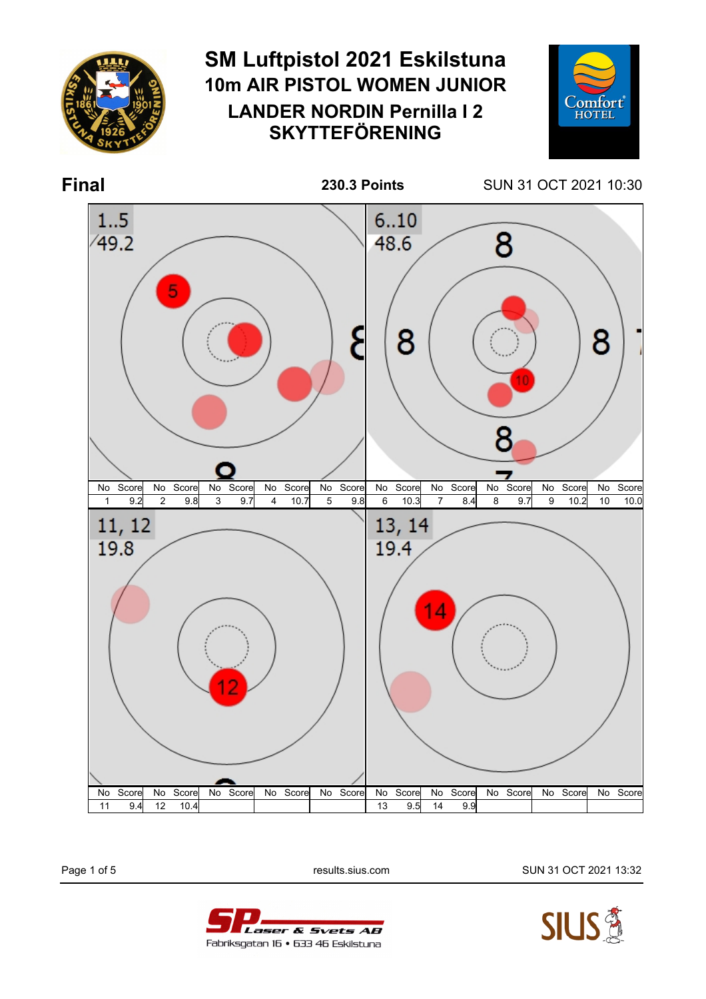

Laser & Svets AB

Fabriksgatan 16 • 633 46 Eskilstuna

Page 1 of 5 **results.sius.com results.sius.com** SUN 31 OCT 2021 13:32

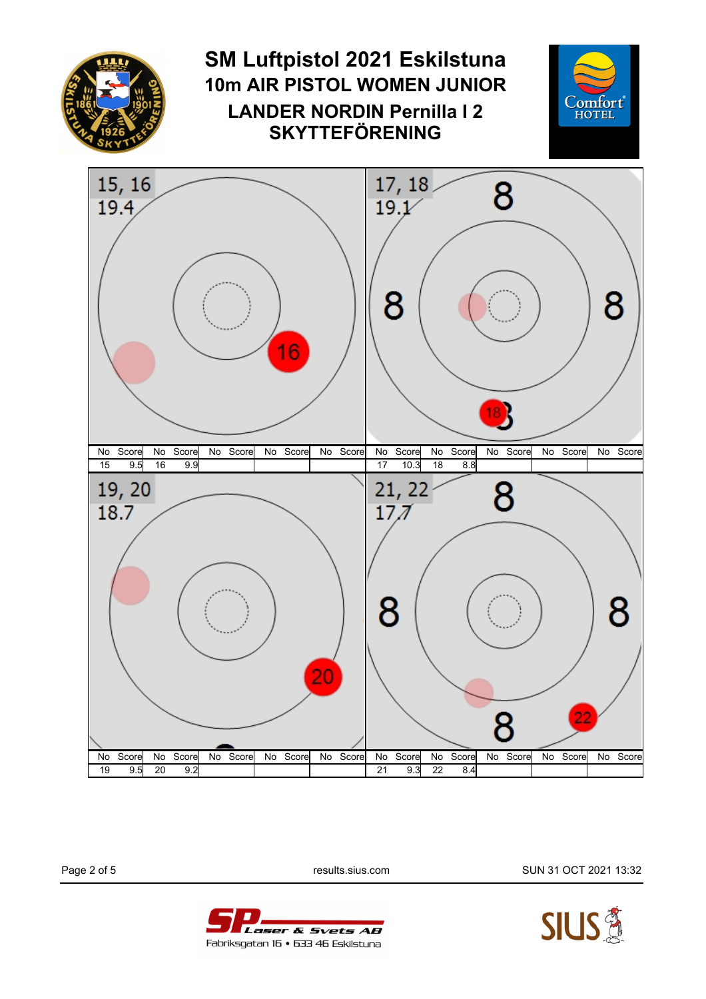

Page 2 of 5 **results.sius.com results.sius.com** SUN 31 OCT 2021 13:32



Laser & Svets AB Fabriksgatan 16 • 633 46 Eskilstuna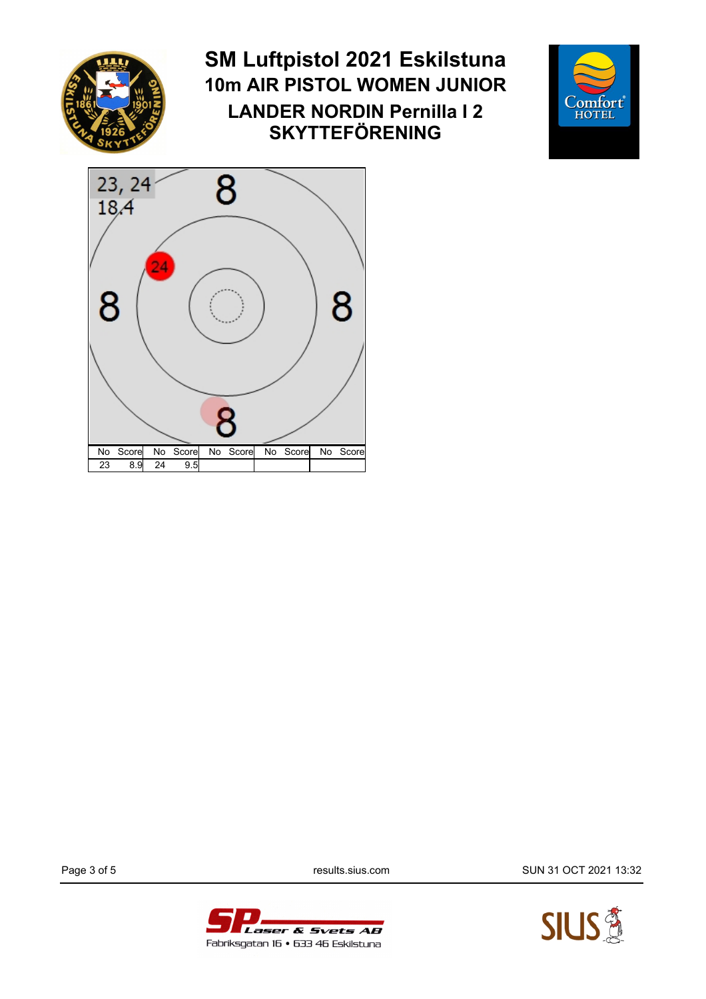

## **SM Luftpistol 2021 Eskilstuna 10m AIR PISTOL WOMEN JUNIOR LANDER NORDIN Pernilla I 2 SKYTTEFÖRENING**





Page 3 of 5 **results.sius.com results.sius.com** SUN 31 OCT 2021 13:32



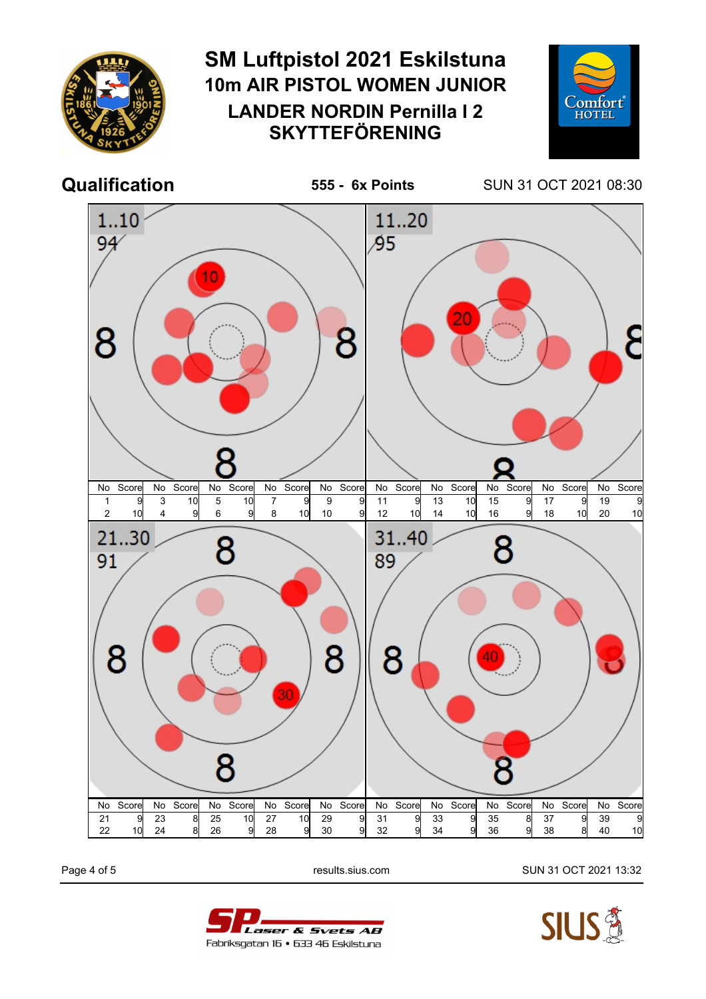

Page 4 of 5 **results.sius.com results.sius.com** SUN 31 OCT 2021 13:32